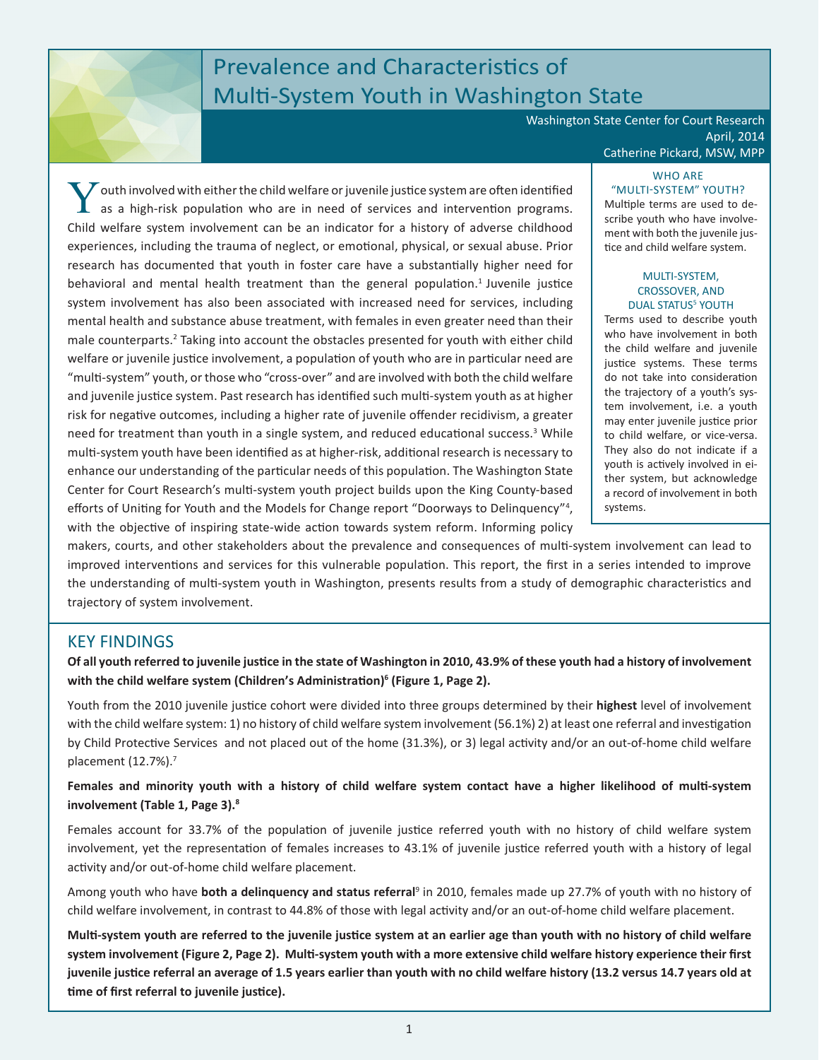# Prevalence and Characteristics of Multi-System Youth in Washington State

Washington State Center for Court Research April, 2014 Catherine Pickard, MSW, MPP

Youth involved with either the child welfare or juvenile justice system are often identified as a high-risk population who are in need of services and intervention programs. Child welfare system involvement can be an indicator for a history of adverse childhood experiences, including the trauma of neglect, or emotional, physical, or sexual abuse. Prior research has documented that youth in foster care have a substantially higher need for behavioral and mental health treatment than the general population.<sup>1</sup> Juvenile justice system involvement has also been associated with increased need for services, including mental health and substance abuse treatment, with females in even greater need than their male counterparts.<sup>2</sup> Taking into account the obstacles presented for youth with either child welfare or juvenile justice involvement, a population of youth who are in particular need are "multi-system" youth, or those who "cross-over" and are involved with both the child welfare and juvenile justice system. Past research has identified such multi-system youth as at higher risk for negative outcomes, including a higher rate of juvenile offender recidivism, a greater need for treatment than youth in a single system, and reduced educational success.<sup>3</sup> While multi-system youth have been identified as at higher-risk, additional research is necessary to enhance our understanding of the particular needs of this population. The Washington State Center for Court Research's multi-system youth project builds upon the King County-based efforts of Uniting for Youth and the Models for Change report "Doorways to Delinquency"<sup>4</sup>, with the objective of inspiring state-wide action towards system reform. Informing policy

### WHO ARE "MULTI-SYSTEM" YOUTH?

Multiple terms are used to describe youth who have involvement with both the juvenile justice and child welfare system.

#### MULTI-SYSTEM, CROSSOVER, AND DUAL STATUS<sup>5</sup> YOUTH

Terms used to describe youth who have involvement in both the child welfare and juvenile justice systems. These terms do not take into consideration the trajectory of a youth's system involvement, i.e. a youth may enter juvenile justice prior to child welfare, or vice-versa. They also do not indicate if a youth is actively involved in either system, but acknowledge a record of involvement in both systems.

makers, courts, and other stakeholders about the prevalence and consequences of multi-system involvement can lead to improved interventions and services for this vulnerable population. This report, the first in a series intended to improve the understanding of multi-system youth in Washington, presents results from a study of demographic characteristics and trajectory of system involvement.

# KEY FINDINGS

**Of all youth referred to juvenile justice in the state of Washington in 2010, 43.9% of these youth had a history of involvement with the child welfare system (Children's Administration)<sup>6</sup> (Figure 1, Page 2).**

Youth from the 2010 juvenile justice cohort were divided into three groups determined by their **highest** level of involvement with the child welfare system: 1) no history of child welfare system involvement (56.1%) 2) at least one referral and investigation by Child Protective Services and not placed out of the home (31.3%), or 3) legal activity and/or an out-of-home child welfare placement (12.7%).7

### **Females and minority youth with a history of child welfare system contact have a higher likelihood of multi-system involvement (Table 1, Page 3).<sup>8</sup>**

Females account for 33.7% of the population of juvenile justice referred youth with no history of child welfare system involvement, yet the representation of females increases to 43.1% of juvenile justice referred youth with a history of legal activity and/or out-of-home child welfare placement.

Among youth who have **both a delinquency and status referral**<sup>9</sup> in 2010, females made up 27.7% of youth with no history of child welfare involvement, in contrast to 44.8% of those with legal activity and/or an out-of-home child welfare placement.

**Multi-system youth are referred to the juvenile justice system at an earlier age than youth with no history of child welfare system involvement (Figure 2, Page 2). Multi-system youth with a more extensive child welfare history experience their first juvenile justice referral an average of 1.5 years earlier than youth with no child welfare history (13.2 versus 14.7 years old at time of first referral to juvenile justice).**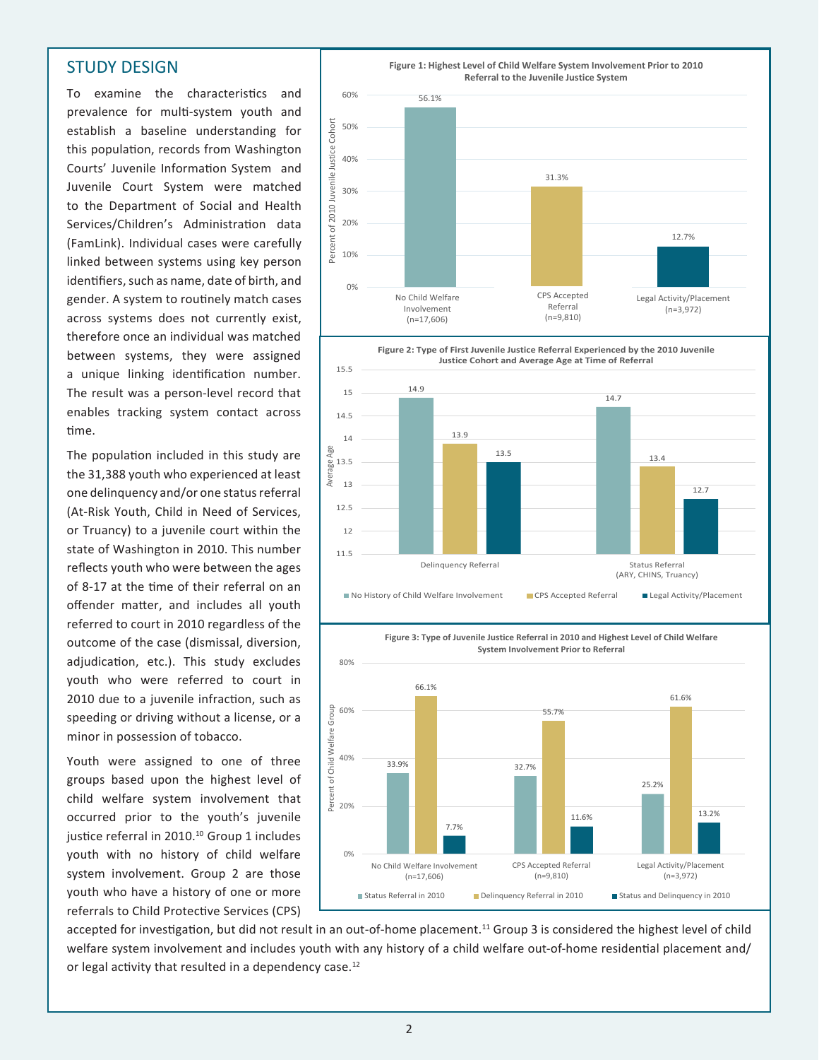### STUDY DESIGN

To examine the characteristics and prevalence for multi-system youth and establish a baseline understanding for this population, records from Washington Courts' Juvenile Information System and Juvenile Court System were matched to the Department of Social and Health Services/Children's Administration data (FamLink). Individual cases were carefully linked between systems using key person identifiers, such as name, date of birth, and gender. A system to routinely match cases across systems does not currently exist, therefore once an individual was matched between systems, they were assigned a unique linking identification number. The result was a person-level record that enables tracking system contact across time.

The population included in this study are the 31,388 youth who experienced at least one delinquency and/or one status referral (At-Risk Youth, Child in Need of Services, or Truancy) to a juvenile court within the state of Washington in 2010. This number reflects youth who were between the ages of 8-17 at the time of their referral on an offender matter, and includes all youth referred to court in 2010 regardless of the outcome of the case (dismissal, diversion, adjudication, etc.). This study excludes youth who were referred to court in 2010 due to a juvenile infraction, such as speeding or driving without a license, or a minor in possession of tobacco.

Youth were assigned to one of three groups based upon the highest level of child welfare system involvement that occurred prior to the youth's juvenile justice referral in 2010.<sup>10</sup> Group 1 includes youth with no history of child welfare system involvement. Group 2 are those youth who have a history of one or more referrals to Child Protective Services (CPS)





**Figure 3: Type of Juvenile Justice Referral in 2010 and Highest Level of Child Welfare System Involvement Prior to Referral**



accepted for investigation, but did not result in an out-of-home placement.<sup>11</sup> Group 3 is considered the highest level of child welfare system involvement and includes youth with any history of a child welfare out-of-home residential placement and/ or legal activity that resulted in a dependency case.<sup>12</sup>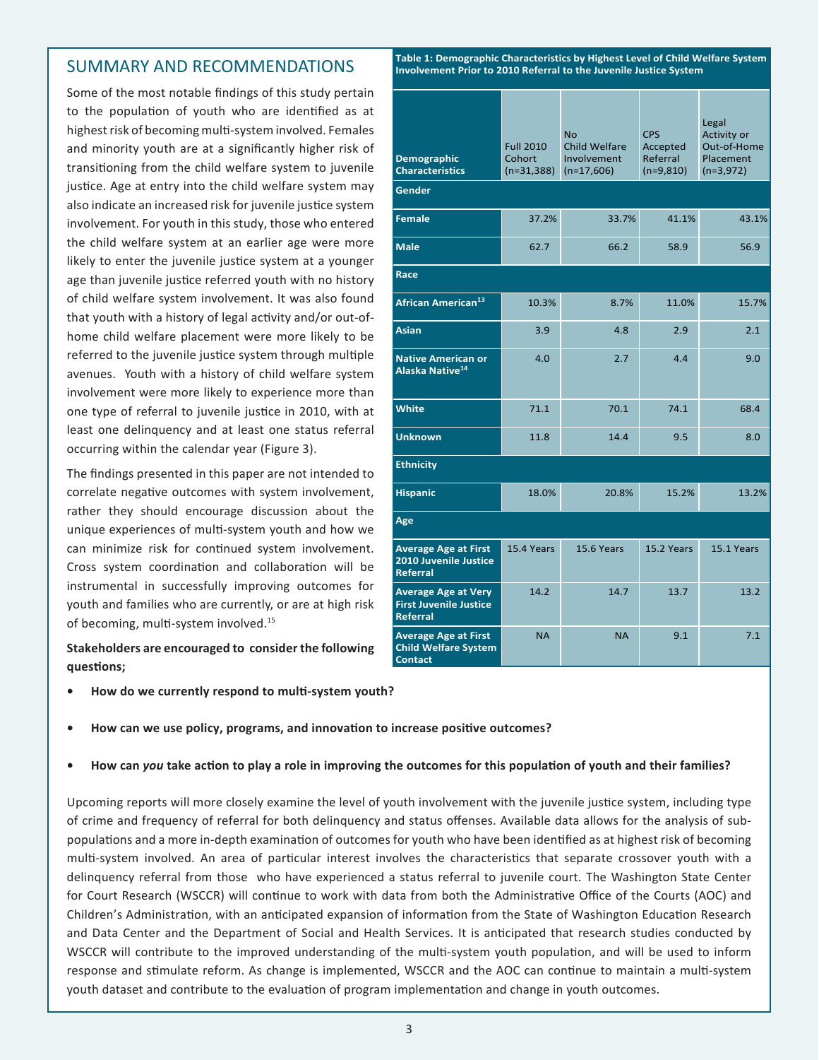# SUMMARY AND RECOMMENDATIONS

Some of the most notable findings of this study pertain to the population of youth who are identified as at highest risk of becoming multi-system involved. Females and minority youth are at a significantly higher risk of transitioning from the child welfare system to juvenile justice. Age at entry into the child welfare system may also indicate an increased risk for juvenile justice system involvement. For youth in this study, those who entered the child welfare system at an earlier age were more likely to enter the juvenile justice system at a younger age than juvenile justice referred youth with no history of child welfare system involvement. It was also found that youth with a history of legal activity and/or out-ofhome child welfare placement were more likely to be referred to the juvenile justice system through multiple avenues. Youth with a history of child welfare system involvement were more likely to experience more than one type of referral to juvenile justice in 2010, with at least one delinquency and at least one status referral occurring within the calendar year (Figure 3).

The findings presented in this paper are not intended to correlate negative outcomes with system involvement, rather they should encourage discussion about the unique experiences of multi-system youth and how we can minimize risk for continued system involvement. Cross system coordination and collaboration will be instrumental in successfully improving outcomes for youth and families who are currently, or are at high risk of becoming, multi-system involved.<sup>15</sup>

### **Stakeholders are encouraged to consider the following questions;**

**• How do we currently respond to multi-system youth?**

| Table 1: Demographic Characteristics by Highest Level of Child Welfare System<br>Involvement Prior to 2010 Referral to the Juvenile Justice System |                                                   |                                                                  |                                                   |                                                                 |
|----------------------------------------------------------------------------------------------------------------------------------------------------|---------------------------------------------------|------------------------------------------------------------------|---------------------------------------------------|-----------------------------------------------------------------|
| <b>Demographic</b><br><b>Characteristics</b>                                                                                                       | <b>Full 2010</b><br><b>Cohort</b><br>$(n=31,388)$ | <b>No</b><br><b>Child Welfare</b><br>Involvement<br>$(n=17,606)$ | <b>CPS</b><br>Accepted<br>Referral<br>$(n=9,810)$ | Legal<br>Activity or<br>Out-of-Home<br>Placement<br>$(n=3,972)$ |
| Gender                                                                                                                                             |                                                   |                                                                  |                                                   |                                                                 |
| <b>Female</b>                                                                                                                                      | 37.2%                                             | 33.7%                                                            | 41.1%                                             | 43.1%                                                           |
| <b>Male</b>                                                                                                                                        | 62.7                                              | 66.2                                                             | 58.9                                              | 56.9                                                            |
| Race                                                                                                                                               |                                                   |                                                                  |                                                   |                                                                 |
| African American <sup>13</sup>                                                                                                                     | 10.3%                                             | 8.7%                                                             | 11.0%                                             | 15.7%                                                           |
| <b>Asian</b>                                                                                                                                       | 3.9                                               | 4.8                                                              | 2.9                                               | 2.1                                                             |
| <b>Native American or</b><br>Alaska Native <sup>14</sup>                                                                                           | 4.0                                               | 2.7                                                              | 4.4                                               | 9.0                                                             |
| <b>White</b>                                                                                                                                       | 71.1                                              | 70.1                                                             | 74.1                                              | 68.4                                                            |
| <b>Unknown</b>                                                                                                                                     | 11.8                                              | 14.4                                                             | 9.5                                               | 8.0                                                             |
| <b>Ethnicity</b>                                                                                                                                   |                                                   |                                                                  |                                                   |                                                                 |
| <b>Hispanic</b>                                                                                                                                    | 18.0%                                             | 20.8%                                                            | 15.2%                                             | 13.2%                                                           |
| Age                                                                                                                                                |                                                   |                                                                  |                                                   |                                                                 |
| <b>Average Age at First</b><br><b>2010 Juvenile Justice</b><br><b>Referral</b>                                                                     | 15.4 Years                                        | 15.6 Years                                                       | 15.2 Years                                        | 15.1 Years                                                      |
| <b>Average Age at Very</b><br><b>First Juvenile Justice</b>                                                                                        | 14.2                                              | 14.7                                                             | 13.7                                              | 13.2                                                            |

NA NA 9.1 7.1

#### **• How can we use policy, programs, and innovation to increase positive outcomes?**

#### **• How can** *you* **take action to play a role in improving the outcomes for this population of youth and their families?**

**Referral**

**Contact**

**Average Age at First Child Welfare System**

Upcoming reports will more closely examine the level of youth involvement with the juvenile justice system, including type of crime and frequency of referral for both delinquency and status offenses. Available data allows for the analysis of subpopulations and a more in-depth examination of outcomes for youth who have been identified as at highest risk of becoming multi-system involved. An area of particular interest involves the characteristics that separate crossover youth with a delinquency referral from those who have experienced a status referral to juvenile court. The Washington State Center for Court Research (WSCCR) will continue to work with data from both the Administrative Office of the Courts (AOC) and Children's Administration, with an anticipated expansion of information from the State of Washington Education Research and Data Center and the Department of Social and Health Services. It is anticipated that research studies conducted by WSCCR will contribute to the improved understanding of the multi-system youth population, and will be used to inform response and stimulate reform. As change is implemented, WSCCR and the AOC can continue to maintain a multi-system youth dataset and contribute to the evaluation of program implementation and change in youth outcomes.